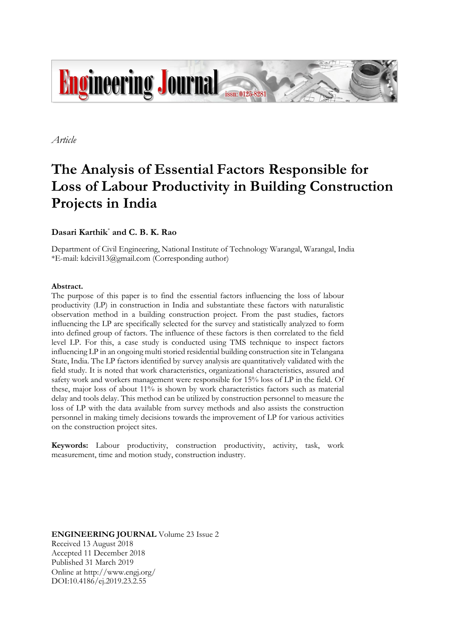

*Article*

# **The Analysis of Essential Factors Responsible for Loss of Labour Productivity in Building Construction Projects in India**

# **Dasari Karthik**\* **and C. B. K. Rao**

Department of Civil Engineering, National Institute of Technology Warangal, Warangal, India \*E-mail: kdcivil13@gmail.com (Corresponding author)

# **Abstract.**

The purpose of this paper is to find the essential factors influencing the loss of labour productivity (LP) in construction in India and substantiate these factors with naturalistic observation method in a building construction project. From the past studies, factors influencing the LP are specifically selected for the survey and statistically analyzed to form into defined group of factors. The influence of these factors is then correlated to the field level LP. For this, a case study is conducted using TMS technique to inspect factors influencing LP in an ongoing multi storied residential building construction site in Telangana State, India. The LP factors identified by survey analysis are quantitatively validated with the field study. It is noted that work characteristics, organizational characteristics, assured and safety work and workers management were responsible for 15% loss of LP in the field. Of these, major loss of about 11% is shown by work characteristics factors such as material delay and tools delay. This method can be utilized by construction personnel to measure the loss of LP with the data available from survey methods and also assists the construction personnel in making timely decisions towards the improvement of LP for various activities on the construction project sites.

**Keywords:** Labour productivity, construction productivity, activity, task, work measurement, time and motion study, construction industry.

**ENGINEERING JOURNAL** Volume 23 Issue 2 Received 13 August 2018 Accepted 11 December 2018 Published 31 March 2019 Online at http://www.engj.org/ DOI:10.4186/ej.2019.23.2.55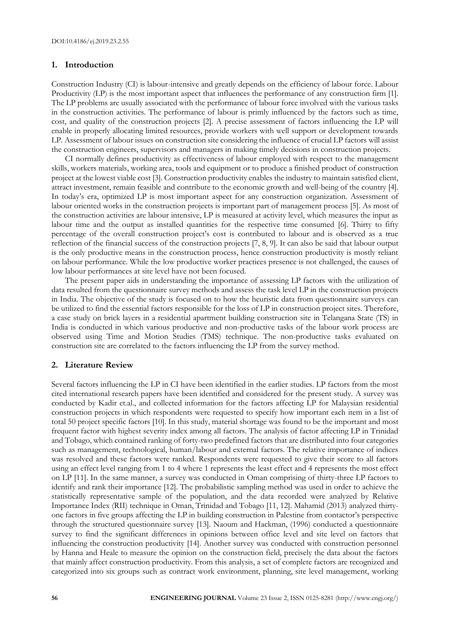# **1. Introduction**

Construction Industry (CI) is labour-intensive and greatly depends on the efficiency of labour force. Labour Productivity (LP) is the most important aspect that influences the performance of any construction firm [1]. The LP problems are usually associated with the performance of labour force involved with the various tasks in the construction activities. The performance of labour is primly influenced by the factors such as time, cost, and quality of the construction projects [2]. A precise assessment of factors influencing the LP will enable in properly allocating limited resources, provide workers with well support or development towards LP. Assessment of labour issues on construction site considering the influence of crucial LP factors will assist the construction engineers, supervisors and managers in making timely decisions in construction projects.

CI normally defines productivity as effectiveness of labour employed with respect to the management skills, workers materials, working area, tools and equipment or to produce a finished product of construction project at the lowest viable cost [3]. Construction productivity enables the industry to maintain satisfied client, attract investment, remain feasible and contribute to the economic growth and well-being of the country [4]. In today's era, optimized LP is most important aspect for any construction organization. Assessment of labour oriented works in the construction projects is important part of management process [5]. As most of the construction activities are labour intensive, LP is measured at activity level, which measures the input as labour time and the output as installed quantities for the respective time consumed [6]. Thirty to fifty percentage of the overall construction project's cost is contributed to labour and is observed as a true reflection of the financial success of the construction projects [7, 8, 9]. It can also be said that labour output is the only productive means in the construction process, hence construction productivity is mostly reliant on labour performance. While the low productive worker practices presence is not challenged, the causes of low labour performances at site level have not been focused.

The present paper aids in understanding the importance of assessing LP factors with the utilization of data resulted from the questionnaire survey methods and assess the task level LP in the construction projects in India. The objective of the study is focused on to how the heuristic data from questionnaire surveys can be utilized to find the essential factors responsible for the loss of LP in construction project sites. Therefore, a case study on brick layers in a residential apartment building construction site in Telangana State (TS) in India is conducted in which various productive and non-productive tasks of the labour work process are observed using Time and Motion Studies (TMS) technique. The non-productive tasks evaluated on construction site are correlated to the factors influencing the LP from the survey method.

# **2. Literature Review**

Several factors influencing the LP in CI have been identified in the earlier studies. LP factors from the most cited international research papers have been identified and considered for the present study. A survey was conducted by Kadir et.al., and collected information for the factors affecting LP for Malaysian residential construction projects in which respondents were requested to specify how important each item in a list of total 50 project specific factors [10]. In this study, material shortage was found to be the important and most frequent factor with highest severity index among all factors. The analysis of factor affecting LP in Trinidad and Tobago, which contained ranking of forty-two predefined factors that are distributed into four categories such as management, technological, human/labour and external factors. The relative importance of indices was resolved and these factors were ranked. Respondents were requested to give their score to all factors using an effect level ranging from 1 to 4 where 1 represents the least effect and 4 represents the most effect on LP [11]. In the same manner, a survey was conducted in Oman comprising of thirty-three LP factors to identify and rank their importance [12]. The probabilistic sampling method was used in order to achieve the statistically representative sample of the population, and the data recorded were analyzed by Relative Importance Index (RII) technique in Oman, Trinidad and Tobago [11, 12]. Mahamid (2013) analyzed thirtyone factors in five groups affecting the LP in building construction in Palestine from contactor's perspective through the structured questionnaire survey [13]. Naoum and Hackman, (1996) conducted a questionnaire survey to find the significant differences in opinions between office level and site level on factors that influencing the construction productivity [14]. Another survey was conducted with construction personnel by Hanna and Heale to measure the opinion on the construction field, precisely the data about the factors that mainly affect construction productivity. From this analysis, a set of complete factors are recognized and categorized into six groups such as contract work environment, planning, site level management, working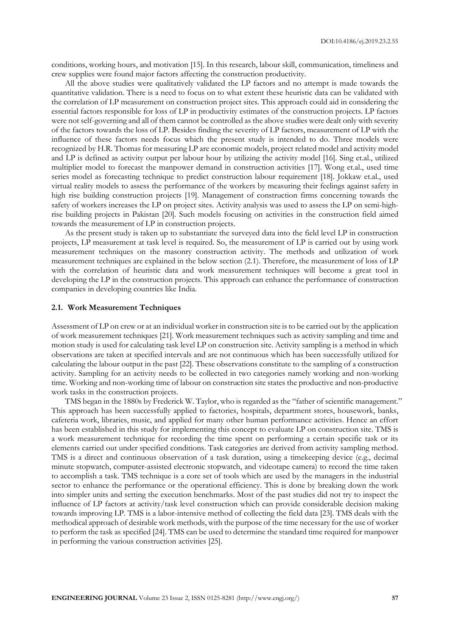conditions, working hours, and motivation [15]. In this research, labour skill, communication, timeliness and crew supplies were found major factors affecting the construction productivity.

All the above studies were qualitatively validated the LP factors and no attempt is made towards the quantitative validation. There is a need to focus on to what extent these heuristic data can be validated with the correlation of LP measurement on construction project sites. This approach could aid in considering the essential factors responsible for loss of LP in productivity estimates of the construction projects. LP factors were not self-governing and all of them cannot be controlled as the above studies were dealt only with severity of the factors towards the loss of LP. Besides finding the severity of LP factors, measurement of LP with the influence of these factors needs focus which the present study is intended to do. Three models were recognized by H.R. Thomas for measuring LP are economic models, project related model and activity model and LP is defined as activity output per labour hour by utilizing the activity model [16]. Sing et.al., utilized multiplier model to forecast the manpower demand in construction activities [17]. Wong et.al., used time series model as forecasting technique to predict construction labour requirement [18]. Jokkaw et.al., used virtual reality models to assess the performance of the workers by measuring their feelings against safety in high rise building construction projects [19]. Management of construction firms concerning towards the safety of workers increases the LP on project sites. Activity analysis was used to assess the LP on semi-highrise building projects in Pakistan [20]. Such models focusing on activities in the construction field aimed towards the measurement of LP in construction projects.

As the present study is taken up to substantiate the surveyed data into the field level LP in construction projects, LP measurement at task level is required. So, the measurement of LP is carried out by using work measurement techniques on the masonry construction activity. The methods and utilization of work measurement techniques are explained in the below section (2.1). Therefore, the measurement of loss of LP with the correlation of heuristic data and work measurement techniques will become a great tool in developing the LP in the construction projects. This approach can enhance the performance of construction companies in developing countries like India.

#### **2.1. Work Measurement Techniques**

Assessment of LP on crew or at an individual worker in construction site is to be carried out by the application of work measurement techniques [21]. Work measurement techniques such as activity sampling and time and motion study is used for calculating task level LP on construction site. Activity sampling is a method in which observations are taken at specified intervals and are not continuous which has been successfully utilized for calculating the labour output in the past [22]. These observations constitute to the sampling of a construction activity. Sampling for an activity needs to be collected in two categories namely working and non-working time. Working and non-working time of labour on construction site states the productive and non-productive work tasks in the construction projects.

TMS began in the 1880s by Frederick W. Taylor, who is regarded as the "father of scientific management." This approach has been successfully applied to factories, hospitals, department stores, housework, banks, cafeteria work, libraries, music, and applied for many other human performance activities. Hence an effort has been established in this study for implementing this concept to evaluate LP on construction site. TMS is a work measurement technique for recording the time spent on performing a certain specific task or its elements carried out under specified conditions. Task categories are derived from activity sampling method. TMS is a direct and continuous observation of a task duration, using a timekeeping device (e.g., decimal minute stopwatch, computer-assisted electronic stopwatch, and videotape camera) to record the time taken to accomplish a task. TMS technique is a core set of tools which are used by the managers in the industrial sector to enhance the performance or the operational efficiency. This is done by breaking down the work into simpler units and setting the execution benchmarks. Most of the past studies did not try to inspect the influence of LP factors at activity/task level construction which can provide considerable decision making towards improving LP. TMS is a labor-intensive method of collecting the field data [23]. TMS deals with the methodical approach of desirable work methods, with the purpose of the time necessary for the use of worker to perform the task as specified [24]. TMS can be used to determine the standard time required for manpower in performing the various construction activities [25].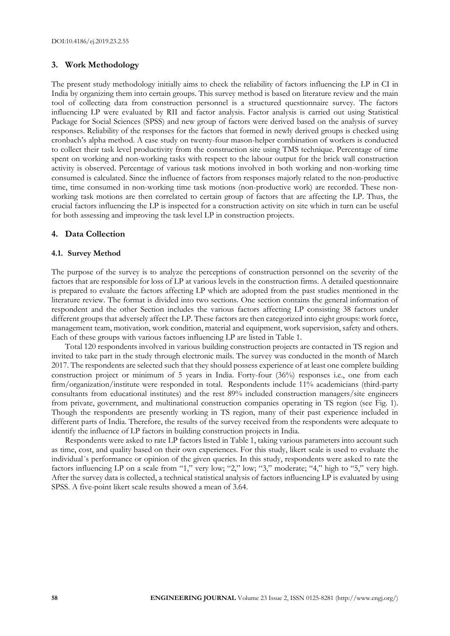# **3. Work Methodology**

The present study methodology initially aims to check the reliability of factors influencing the LP in CI in India by organizing them into certain groups. This survey method is based on literature review and the main tool of collecting data from construction personnel is a structured questionnaire survey. The factors influencing LP were evaluated by RII and factor analysis. Factor analysis is carried out using Statistical Package for Social Sciences (SPSS) and new group of factors were derived based on the analysis of survey responses. Reliability of the responses for the factors that formed in newly derived groups is checked using cronbach's alpha method. A case study on twenty-four mason-helper combination of workers is conducted to collect their task level productivity from the construction site using TMS technique. Percentage of time spent on working and non-working tasks with respect to the labour output for the brick wall construction activity is observed. Percentage of various task motions involved in both working and non-working time consumed is calculated. Since the influence of factors from responses majorly related to the non-productive time, time consumed in non-working time task motions (non-productive work) are recorded. These nonworking task motions are then correlated to certain group of factors that are affecting the LP. Thus, the crucial factors influencing the LP is inspected for a construction activity on site which in turn can be useful for both assessing and improving the task level LP in construction projects.

#### **4. Data Collection**

#### **4.1. Survey Method**

The purpose of the survey is to analyze the perceptions of construction personnel on the severity of the factors that are responsible for loss of LP at various levels in the construction firms. A detailed questionnaire is prepared to evaluate the factors affecting LP which are adopted from the past studies mentioned in the literature review. The format is divided into two sections. One section contains the general information of respondent and the other Section includes the various factors affecting LP consisting 38 factors under different groups that adversely affect the LP. These factors are then categorized into eight groups: work force, management team, motivation, work condition, material and equipment, work supervision, safety and others. Each of these groups with various factors influencing LP are listed in Table 1.

Total 120 respondents involved in various building construction projects are contacted in TS region and invited to take part in the study through electronic mails. The survey was conducted in the month of March 2017. The respondents are selected such that they should possess experience of at least one complete building construction project or minimum of 5 years in India. Forty-four (36%) responses i.e., one from each firm/organization/institute were responded in total. Respondents include 11% academicians (third-party consultants from educational institutes) and the rest 89% included construction managers/site engineers from private, government, and multinational construction companies operating in TS region (see Fig. 1). Though the respondents are presently working in TS region, many of their past experience included in different parts of India. Therefore, the results of the survey received from the respondents were adequate to identify the influence of LP factors in building construction projects in India.

Respondents were asked to rate LP factors listed in Table 1, taking various parameters into account such as time, cost, and quality based on their own experiences. For this study, likert scale is used to evaluate the individual´s performance or opinion of the given queries. In this study, respondents were asked to rate the factors influencing LP on a scale from "1," very low; "2," low; "3," moderate; "4," high to "5," very high. After the survey data is collected, a technical statistical analysis of factors influencing LP is evaluated by using SPSS. A five-point likert scale results showed a mean of 3.64.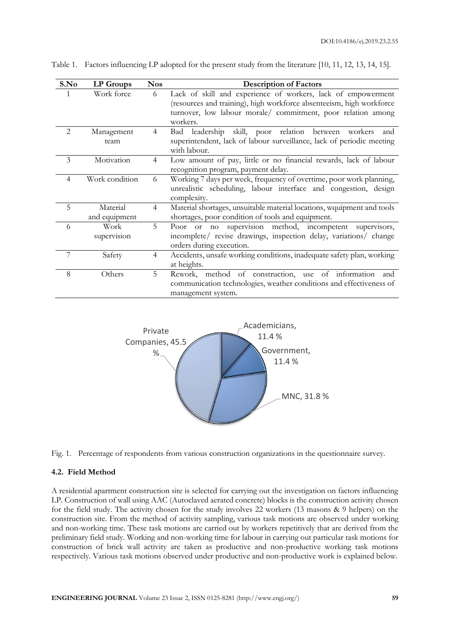| S.No           | <b>LP</b> Groups          | <b>Nos</b>     | <b>Description of Factors</b>                                                                                                                                                                                    |
|----------------|---------------------------|----------------|------------------------------------------------------------------------------------------------------------------------------------------------------------------------------------------------------------------|
|                | Work force                | 6              | Lack of skill and experience of workers, lack of empowerment<br>(resources and training), high workforce absenteeism, high workforce<br>turnover, low labour morale/ commitment, poor relation among<br>workers. |
| 2              | Management<br>team        | 4              | skill, poor relation<br>Bad leadership<br>between<br>workers<br>and<br>superintendent, lack of labour surveillance, lack of periodic meeting<br>with labour.                                                     |
| 3              | Motivation                | $\overline{4}$ | Low amount of pay, little or no financial rewards, lack of labour<br>recognition program, payment delay.                                                                                                         |
| $\overline{4}$ | Work condition            | 6              | Working 7 days per week, frequency of overtime, poor work planning,<br>unrealistic scheduling, labour interface and congestion, design<br>complexity.                                                            |
| 5              | Material<br>and equipment | $\overline{4}$ | Material shortages, unsuitable material locations, wquipment and tools<br>shortages, poor condition of tools and equipment.                                                                                      |
| 6              | Work<br>supervision       | 5              | Poor or no supervision method, incompetent<br>supervisors,<br>incomplete/ revise drawings, inspection delay, variations/ change<br>orders during execution.                                                      |
|                | Safety                    | $\overline{4}$ | Accidents, unsafe working conditions, inadequate safety plan, working<br>at heights.                                                                                                                             |
| 8              | Others                    | 5              | Rework, method of construction, use of information<br>and<br>communication technologies, weather conditions and effectiveness of<br>management system.                                                           |

Table 1. Factors influencing LP adopted for the present study from the literature [10, 11, 12, 13, 14, 15].





#### **4.2. Field Method**

A residential apartment construction site is selected for carrying out the investigation on factors influencing LP. Construction of wall using AAC (Autoclaved aerated concrete) blocks is the construction activity chosen for the field study. The activity chosen for the study involves 22 workers (13 masons & 9 helpers) on the construction site. From the method of activity sampling, various task motions are observed under working and non-working time. These task motions are carried out by workers repetitively that are derived from the preliminary field study. Working and non-working time for labour in carrying out particular task motions for construction of brick wall activity are taken as productive and non-productive working task motions respectively. Various task motions observed under productive and non-productive work is explained below.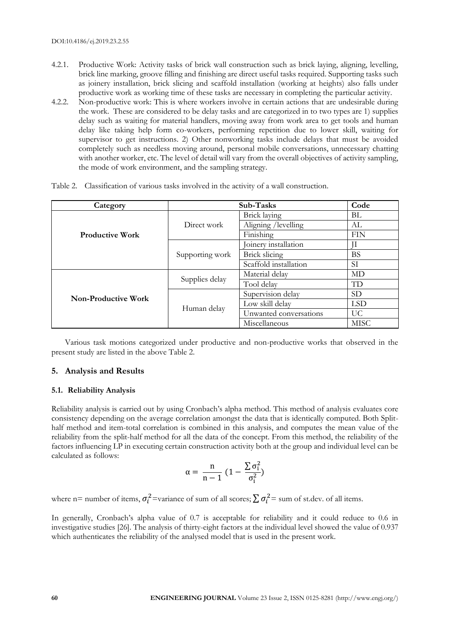- 4.2.1. Productive Work: Activity tasks of brick wall construction such as brick laying, aligning, levelling, brick line marking, groove filling and finishing are direct useful tasks required. Supporting tasks such as joinery installation, brick slicing and scaffold installation (working at heights) also falls under productive work as working time of these tasks are necessary in completing the particular activity.
- 4.2.2. Non-productive work: This is where workers involve in certain actions that are undesirable during the work. These are considered to be delay tasks and are categorized in to two types are 1) supplies delay such as waiting for material handlers, moving away from work area to get tools and human delay like taking help form co-workers, performing repetition due to lower skill, waiting for supervisor to get instructions. 2) Other nonworking tasks include delays that must be avoided completely such as needless moving around, personal mobile conversations, unnecessary chatting with another worker, etc. The level of detail will vary from the overall objectives of activity sampling, the mode of work environment, and the sampling strategy.

| Category               |                                                | Sub-Tasks              | Code       |
|------------------------|------------------------------------------------|------------------------|------------|
|                        |                                                | Brick laying           | BL         |
|                        | Direct work                                    | Aligning /levelling    | AL         |
| <b>Productive Work</b> |                                                | Finishing              | <b>FIN</b> |
|                        |                                                | Joinery installation   |            |
|                        | Supporting work                                | Brick slicing          | <b>BS</b>  |
|                        |                                                | Scaffold installation  | SI         |
|                        |                                                | Material delay         | MD         |
|                        |                                                | Tool delay             | TD         |
| Non-Productive Work    |                                                | Supervision delay      | <b>SD</b>  |
|                        |                                                | Low skill delay        | <b>LSD</b> |
|                        |                                                | Unwanted conversations | UC.        |
|                        | Supplies delay<br>Human delay<br>Miscellaneous | <b>MISC</b>            |            |

Table 2. Classification of various tasks involved in the activity of a wall construction.

Various task motions categorized under productive and non-productive works that observed in the present study are listed in the above Table 2.

# **5. Analysis and Results**

# **5.1. Reliability Analysis**

Reliability analysis is carried out by using Cronbach's alpha method. This method of analysis evaluates core consistency depending on the average correlation amongst the data that is identically computed. Both Splithalf method and item-total correlation is combined in this analysis, and computes the mean value of the reliability from the split-half method for all the data of the concept. From this method, the reliability of the factors influencing LP in executing certain construction activity both at the group and individual level can be calculated as follows:

$$
\alpha=\frac{n}{n-1}\;(1-\frac{\sum\sigma_i^2}{\sigma_i^2})
$$

where n= number of items,  $\sigma_i^2$ =variance of sum of all scores;  $\sum \sigma_i^2$ = sum of st.dev. of all items.

In generally, Cronbach's alpha value of 0.7 is acceptable for reliability and it could reduce to 0.6 in investigative studies [26]. The analysis of thirty-eight factors at the individual level showed the value of 0.937 which authenticates the reliability of the analysed model that is used in the present work.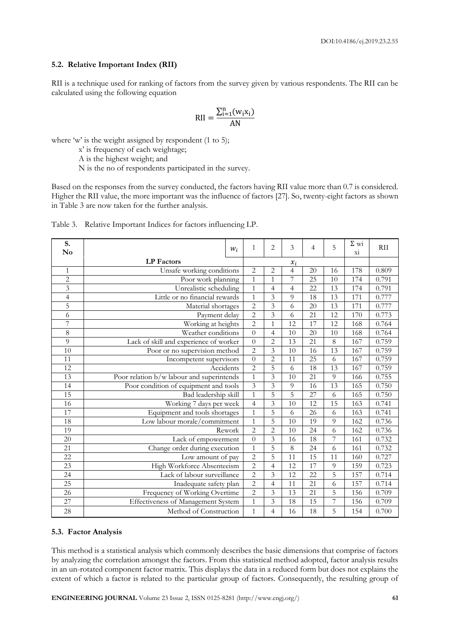# **5.2. Relative Important Index (RII)**

RII is a technique used for ranking of factors from the survey given by various respondents. The RII can be calculated using the following equation

$$
\text{RII} = \frac{\sum_{i=1}^{n} (w_i x_i)}{\text{AN}}
$$

where 'w' is the weight assigned by respondent (1 to 5);

x' is frequency of each weightage;

A is the highest weight; and

N is the no of respondents participated in the survey.

Based on the responses from the survey conducted, the factors having RII value more than 0.7 is considered. Higher the RII value, the more important was the influence of factors [27]. So, twenty-eight factors as shown in Table 3 are now taken for the further analysis.

| S.<br>No        |                                           | $W_i$          | $\mathbf{1}$   | $\overline{2}$ | 3               | $\overline{4}$  | 5   | $\Sigma$ wi<br>X1 | <b>RII</b> |
|-----------------|-------------------------------------------|----------------|----------------|----------------|-----------------|-----------------|-----|-------------------|------------|
|                 | <b>LP</b> Factors                         |                |                |                |                 |                 |     |                   |            |
| $\mathbf{1}$    | Unsafe working conditions                 |                | $\overline{c}$ | $\overline{2}$ | $\overline{4}$  | 20              | 16  | 178               | 0.809      |
| $\overline{c}$  | Poor work planning                        |                | $\overline{1}$ | $\mathbf{1}$   | 7               | $\overline{25}$ | 10  | 174               | 0.791      |
| 3               | Unrealistic scheduling                    |                | $\mathbf{1}$   | 4              | $\overline{4}$  | 22              | 13  | 174               | 0.791      |
| $\overline{4}$  | Little or no financial rewards            |                | $\mathbf{1}$   | $\overline{3}$ | $\overline{Q}$  | 18              | 13  | 171               | 0.777      |
| 5               | Material shortages                        |                | $\overline{c}$ | 3              | 6               | 20              | 13  | 171               | 0.777      |
| 6               | Payment delay                             |                | $\overline{c}$ | 3              | 6               | 21              | 12  | 170               | 0.773      |
| 7               | Working at heights                        |                | $\overline{2}$ | 1              | 12              | 17              | 12  | 168               | 0.764      |
| 8               | Weather conditions                        |                | $\overline{0}$ | $\overline{4}$ | 10              | 20              | 10  | 168               | 0.764      |
| 9               | Lack of skill and experience of worker    |                | $\overline{0}$ | $\overline{2}$ | 13              | 21              | 8   | 167               | 0.759      |
| 10              | Poor or no supervision method             |                | $\overline{c}$ | 3              | 10              | 16              | 13  | 167               | 0.759      |
| 11              | Incompetent supervisors                   | $\overline{0}$ | $\overline{2}$ | 11             | 25              | 6               | 167 | 0.759             |            |
| 12              | Accidents                                 | $\overline{2}$ | 5              | 6              | 18              | 13              | 167 | 0.759             |            |
| 13              | Poor relation b/w labour and superintends |                | $\mathbf{1}$   | 3              | 10              | 21              | 9   | 166               | 0.755      |
| 14              | Poor condition of equipment and tools     |                | 3              | 3              | 9               | 16              | 13  | 165               | 0.750      |
| 15              | Bad leadership skill                      |                | $\mathbf{1}$   | 5              | 5               | 27              | 6   | 165               | 0.750      |
| 16              | Working 7 days per week                   |                | $\overline{4}$ | 3              | 10              | 12              | 15  | 163               | 0.741      |
| 17              | Equipment and tools shortages             |                | $\mathbf{1}$   | 5              | 6               | 26              | 6   | 163               | 0.741      |
| 18              | Low labour morale/commitment              |                | $\overline{1}$ | 5              | 10              | 19              | 9   | 162               | 0.736      |
| 19              | Rework                                    |                | $\overline{2}$ | $\overline{2}$ | 10              | 24              | 6   | 162               | 0.736      |
| 20              | Lack of empowerment                       |                | $\overline{0}$ | 3              | 16              | 18              | 7   | 161               | 0.732      |
| 21              | Change order during execution             |                | $\mathbf{1}$   | 5              | $\,8\,$         | 24              | 6   | 161               | 0.732      |
| 22              | Low amount of pay                         |                | $\overline{2}$ | 5              | $\overline{11}$ | $\overline{15}$ | 11  | 160               | 0.727      |
| 23              | High Workforce Absenteeism                |                | $\overline{2}$ | 4              | 12              | 17              | 9   | 159               | 0.723      |
| 24              | Lack of labour surveillance               |                | $\overline{2}$ | 3              | 12              | 22              | 5   | 157               | 0.714      |
| $\overline{25}$ | Inadequate safety plan                    |                | $\overline{2}$ | $\overline{4}$ | 11              | 21              | 6   | 157               | 0.714      |
| 26              | Frequency of Working Overtime             |                | $\overline{c}$ | 3              | 13              | 21              | 5   | 156               | 0.709      |
| 27              | Effectiveness of Management System        |                | $\mathbf{1}$   | $\overline{3}$ | 18              | 15              | 7   | 156               | 0.709      |
| 28              | Method of Construction                    |                | $\mathbf{1}$   | 4              | 16              | 18              | 5   | 154               | 0.700      |

| Table 3. Relative Important Indices for factors influencing LP. |  |  |
|-----------------------------------------------------------------|--|--|
|                                                                 |  |  |

# **5.3. Factor Analysis**

This method is a statistical analysis which commonly describes the basic dimensions that comprise of factors by analyzing the correlation amongst the factors. From this statistical method adopted, factor analysis results in an un-rotated component factor matrix. This displays the data in a reduced form but does not explains the extent of which a factor is related to the particular group of factors. Consequently, the resulting group of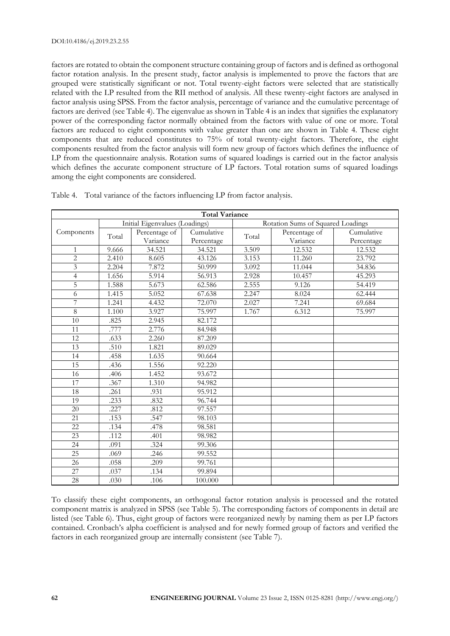factors are rotated to obtain the component structure containing group of factors and is defined as orthogonal factor rotation analysis. In the present study, factor analysis is implemented to prove the factors that are grouped were statistically significant or not. Total twenty-eight factors were selected that are statistically related with the LP resulted from the RII method of analysis. All these twenty-eight factors are analysed in factor analysis using SPSS. From the factor analysis, percentage of variance and the cumulative percentage of factors are derived (see Table 4). The eigenvalue as shown in Table 4 is an index that signifies the explanatory power of the corresponding factor normally obtained from the factors with value of one or more. Total factors are reduced to eight components with value greater than one are shown in Table 4. These eight components that are reduced constitutes to 75% of total twenty-eight factors. Therefore, the eight components resulted from the factor analysis will form new group of factors which defines the influence of LP from the questionnaire analysis. Rotation sums of squared loadings is carried out in the factor analysis which defines the accurate component structure of LP factors. Total rotation sums of squared loadings among the eight components are considered.

|                         | <b>Total Variance</b>                                               |                           |                          |       |                           |                          |  |  |  |  |  |  |
|-------------------------|---------------------------------------------------------------------|---------------------------|--------------------------|-------|---------------------------|--------------------------|--|--|--|--|--|--|
|                         | Initial Eigenvalues (Loadings)<br>Rotation Sums of Squared Loadings |                           |                          |       |                           |                          |  |  |  |  |  |  |
| Components              | Total                                                               | Percentage of<br>Variance | Cumulative<br>Percentage | Total | Percentage of<br>Variance | Cumulative<br>Percentage |  |  |  |  |  |  |
| $\mathbf{1}$            | 9.666                                                               | 34.521                    | 34.521                   | 3.509 | 12.532                    | 12.532                   |  |  |  |  |  |  |
| $\overline{2}$          | 2.410                                                               | 8.605                     | 43.126                   | 3.153 | 11.260                    | 23.792                   |  |  |  |  |  |  |
| $\overline{\mathbf{3}}$ | 2.204                                                               | 7.872                     | 50.999                   | 3.092 | 11.044                    | 34.836                   |  |  |  |  |  |  |
| $\overline{4}$          | 1.656                                                               | 5.914                     | 56.913                   | 2.928 | 10.457                    | 45.293                   |  |  |  |  |  |  |
| 5                       | 1.588                                                               | 5.673                     | 62.586                   | 2.555 | 9.126                     | 54.419                   |  |  |  |  |  |  |
| 6                       | 1.415                                                               | 5.052                     | 67.638                   | 2.247 | 8.024                     | 62.444                   |  |  |  |  |  |  |
| 7                       | 1.241                                                               | 4.432                     | 72.070                   | 2.027 | 7.241                     | 69.684                   |  |  |  |  |  |  |
| $\overline{8}$          | 1.100                                                               | 3.927                     | 75.997                   | 1.767 | 6.312                     | 75.997                   |  |  |  |  |  |  |
| $\overline{10}$         | .825                                                                | 2.945                     | 82.172                   |       |                           |                          |  |  |  |  |  |  |
| 11                      | .777                                                                | 2.776                     | 84.948                   |       |                           |                          |  |  |  |  |  |  |
| 12                      | .633                                                                | 2.260                     | 87.209                   |       |                           |                          |  |  |  |  |  |  |
| 13                      | .510                                                                | 1.821                     | 89.029                   |       |                           |                          |  |  |  |  |  |  |
| 14                      | .458                                                                | 1.635                     | 90.664                   |       |                           |                          |  |  |  |  |  |  |
| $\overline{15}$         | .436                                                                | 1.556                     | 92.220                   |       |                           |                          |  |  |  |  |  |  |
| 16                      | .406                                                                | 1.452                     | 93.672                   |       |                           |                          |  |  |  |  |  |  |
| 17                      | .367                                                                | 1.310                     | 94.982                   |       |                           |                          |  |  |  |  |  |  |
| 18                      | .261                                                                | .931                      | 95.912                   |       |                           |                          |  |  |  |  |  |  |
| 19                      | .233                                                                | .832                      | 96.744                   |       |                           |                          |  |  |  |  |  |  |
| 20                      | .227                                                                | .812                      | 97.557                   |       |                           |                          |  |  |  |  |  |  |
| 21                      | .153                                                                | .547                      | 98.103                   |       |                           |                          |  |  |  |  |  |  |
| 22                      | .134                                                                | .478                      | 98.581                   |       |                           |                          |  |  |  |  |  |  |
| $\overline{23}$         | .112                                                                | .401                      | 98.982                   |       |                           |                          |  |  |  |  |  |  |
| 24                      | .091                                                                | .324                      | 99.306                   |       |                           |                          |  |  |  |  |  |  |
| $\overline{25}$         | .069                                                                | .246                      | 99.552                   |       |                           |                          |  |  |  |  |  |  |
| 26                      | .058                                                                | .209                      | 99.761                   |       |                           |                          |  |  |  |  |  |  |
| $\overline{27}$         | .037                                                                | .134                      | 99.894                   |       |                           |                          |  |  |  |  |  |  |
| 28                      | .030                                                                | .106                      | 100.000                  |       |                           |                          |  |  |  |  |  |  |

Table 4. Total variance of the factors influencing LP from factor analysis.

To classify these eight components, an orthogonal factor rotation analysis is processed and the rotated component matrix is analyzed in SPSS (see Table 5). The corresponding factors of components in detail are listed (see Table 6). Thus, eight group of factors were reorganized newly by naming them as per LP factors contained. Cronbach's alpha coefficient is analysed and for newly formed group of factors and verified the factors in each reorganized group are internally consistent (see Table 7).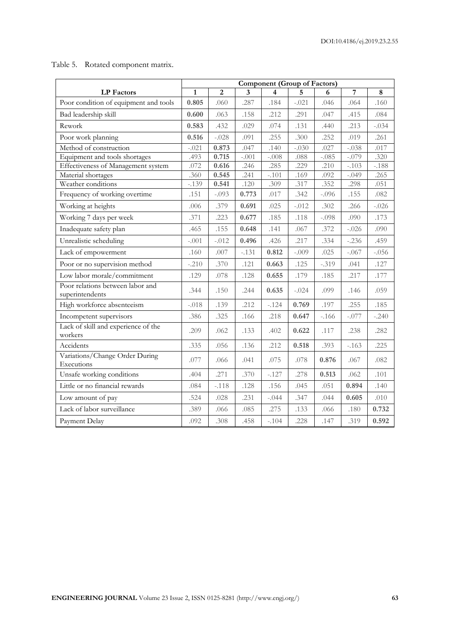| Rotated component matrix. | Table 5. |  |  |
|---------------------------|----------|--|--|
|---------------------------|----------|--|--|

|                                                     | <b>Component (Group of Factors)</b> |                |         |         |         |         |         |         |
|-----------------------------------------------------|-------------------------------------|----------------|---------|---------|---------|---------|---------|---------|
| <b>LP</b> Factors                                   | $\mathbf{1}$                        | $\overline{2}$ | 3       | 4       | 5       | 6       | 7       | 8       |
| Poor condition of equipment and tools               | 0.805                               | .060           | .287    | .184    | $-.021$ | .046    | .064    | .160    |
| Bad leadership skill                                | 0.600                               | .063           | .158    | .212    | .291    | .047    | .415    | .084    |
| Rework                                              | 0.583                               | .432           | .029    | .074    | .131    | .440    | .213    | $-.034$ |
| Poor work planning                                  | 0.516                               | $-.028$        | .091    | .255    | .300    | .252    | .019    | .261    |
| Method of construction                              | $-.021$                             | 0.873          | .047    | .140    | $-.030$ | .027    | $-.038$ | .017    |
| Equipment and tools shortages                       | .493                                | 0.715          | $-.001$ | $-.008$ | .088    | $-.085$ | $-.079$ | .320    |
| Effectiveness of Management system                  | .072                                | 0.616          | .246    | .285    | .229    | .210    | $-.103$ | $-.188$ |
| Material shortages                                  | .360                                | 0.545          | .241    | $-.101$ | .169    | .092    | $-.049$ | .265    |
| Weather conditions                                  | $-.139$                             | 0.541          | .120    | .309    | .317    | .352    | .298    | .051    |
| Frequency of working overtime                       | .151                                | $-.093$        | 0.773   | .017    | .342    | $-.096$ | .155    | .082    |
| Working at heights                                  | .006                                | .379           | 0.691   | .025    | $-.012$ | .302    | .266    | $-.026$ |
| Working 7 days per week                             | .371                                | .223           | 0.677   | .185    | .118    | $-.098$ | .090    | .173    |
| Inadequate safety plan                              | .465                                | .155           | 0.648   | .141    | .067    | .372    | $-.026$ | .090    |
| Unrealistic scheduling                              | $-.001$                             | $-.012$        | 0.496   | .426    | .217    | .334    | $-.236$ | .459    |
| Lack of empowerment                                 | .160                                | .007           | $-.131$ | 0.812   | $-.009$ | .025    | $-.067$ | $-.056$ |
| Poor or no supervision method                       | $-.210$                             | .370           | .121    | 0.663   | .125    | $-.319$ | .041    | .127    |
| Low labor morale/commitment                         | .129                                | .078           | .128    | 0.655   | .179    | .185    | .217    | .177    |
| Poor relations between labor and<br>superintendents | .344                                | .150           | .244    | 0.635   | $-.024$ | .099    | .146    | .059    |
| High workforce absenteeism                          | $-.018$                             | .139           | .212    | $-.124$ | 0.769   | .197    | .255    | .185    |
| Incompetent supervisors                             | .386                                | .325           | .166    | .218    | 0.647   | $-.166$ | $-.077$ | $-.240$ |
| Lack of skill and experience of the<br>workers      | .209                                | .062           | .133    | .402    | 0.622   | .117    | .238    | .282    |
| Accidents                                           | .335                                | .056           | .136    | .212    | 0.518   | .393    | $-.163$ | .225    |
| Variations/Change Order During<br>Executions        | .077                                | .066           | .041    | .075    | .078    | 0.876   | .067    | .082    |
| Unsafe working conditions                           | .404                                | .271           | .370    | $-.127$ | .278    | 0.513   | .062    | .101    |
| Little or no financial rewards                      | .084                                | $-.118$        | .128    | .156    | .045    | .051    | 0.894   | .140    |
| Low amount of pay                                   | .524                                | .028           | .231    | $-.044$ | .347    | .044    | 0.605   | .010    |
| Lack of labor surveillance                          | .389                                | .066           | .085    | .275    | .133    | .066    | .180    | 0.732   |
| Payment Delay                                       | .092                                | .308           | .458    | $-.104$ | .228    | .147    | .319    | 0.592   |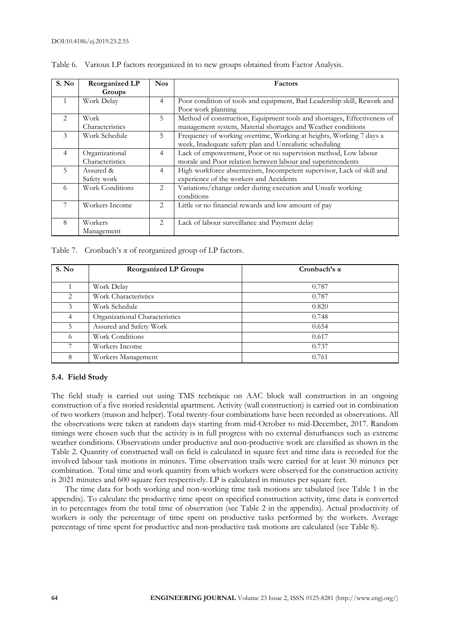| S. No          | <b>Reorganized LP</b>             | <b>Nos</b>     | Factors                                                                                                                                 |
|----------------|-----------------------------------|----------------|-----------------------------------------------------------------------------------------------------------------------------------------|
|                | Groups                            |                |                                                                                                                                         |
|                | Work Delay                        | $\overline{4}$ | Poor condition of tools and equipment, Bad Leadership skill, Rework and<br>Poor work planning                                           |
| $\mathfrak{D}$ | Work<br>Characteristics           | 5              | Method of construction, Equipment tools and shortages, Effectiveness of<br>management system, Material shortages and Weather conditions |
| 3              | Work Schedule                     | 5              | Frequency of working overtime, Working at heights, Working 7 days a<br>week, Inadequate safety plan and Unrealistic scheduling          |
| $\overline{4}$ | Organizational<br>Characteristics | $\overline{4}$ | Lack of empowerment, Poor or no supervision method, Low labour<br>morale and Poor relation between labour and superintendents           |
| $5^{\circ}$    | Assured &<br>Safety work          | $\overline{4}$ | High workforce absenteeism, Incompetent supervisor, Lack of skill and<br>experience of the workers and Accidents                        |
| 6              | Work Conditions                   | 2              | Variations/change order during execution and Unsafe working<br>conditions                                                               |
| 7              | Workers Income                    | $\overline{2}$ | Little or no financial rewards and low amount of pay                                                                                    |
| 8              | Workers<br>Management             | 2              | Lack of labour surveillance and Payment delay                                                                                           |

Table 6. Various LP factors reorganized in to new groups obtained from Factor Analysis.

Table 7. Cronbach's α of reorganized group of LP factors.

| S. No | <b>Reorganized LP Groups</b>   | Cronbach's $\alpha$ |
|-------|--------------------------------|---------------------|
|       | Work Delay                     | 0.787               |
| 2     | Work Characteristics           | 0.787               |
| 3     | Work Schedule                  | 0.820               |
| 4     | Organizational Characteristics | 0.748               |
| 5.    | Assured and Safety Work        | 0.654               |
| 6     | Work Conditions                | 0.617               |
| 7     | Workers Income                 | 0.737               |
| 8     | Workers Management             | 0.761               |

# **5.4. Field Study**

The field study is carried out using TMS technique on AAC block wall construction in an ongoing construction of a five storied residential apartment. Activity (wall construction) is carried out in combination of two workers (mason and helper). Total twenty-four combinations have been recorded as observations. All the observations were taken at random days starting from mid-October to mid-December, 2017. Random timings were chosen such that the activity is in full progress with no external disturbances such as extreme weather conditions. Observations under productive and non-productive work are classified as shown in the Table 2. Quantity of constructed wall on field is calculated in square feet and time data is recorded for the involved labour task motions in minutes. Time observation trails were carried for at least 30 minutes per combination. Total time and work quantity from which workers were observed for the construction activity is 2021 minutes and 600 square feet respectively. LP is calculated in minutes per square feet.

The time data for both working and non-working time task motions are tabulated (see Table 1 in the appendix). To calculate the productive time spent on specified construction activity, time data is converted in to percentages from the total time of observation (see Table 2 in the appendix). Actual productivity of workers is only the percentage of time spent on productive tasks performed by the workers. Average percentage of time spent for productive and non-productive task motions are calculated (see Table 8).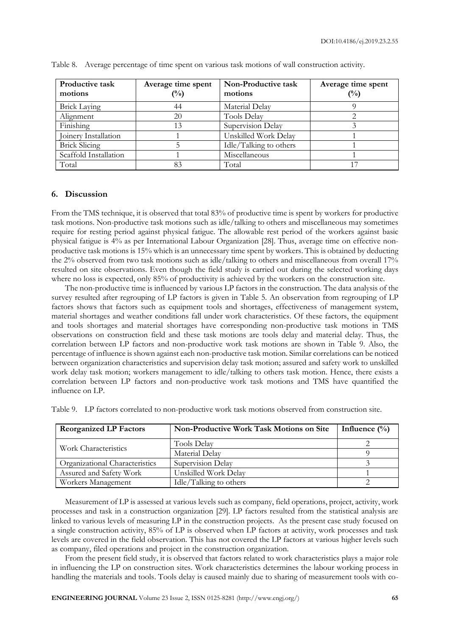| Productive task<br>motions | Average time spent<br>$\binom{0}{0}$ | Non-Productive task<br>motions | Average time spent<br>(%) |
|----------------------------|--------------------------------------|--------------------------------|---------------------------|
| <b>Brick Laying</b>        | 44                                   | Material Delay                 |                           |
| Alignment                  | 20                                   | <b>Tools Delay</b>             |                           |
| Finishing                  | 13                                   | Supervision Delay              |                           |
| Joinery Installation       |                                      | Unskilled Work Delay           |                           |
| <b>Brick Slicing</b>       |                                      | Idle/Talking to others         |                           |
| Scaffold Installation      |                                      | Miscellaneous                  |                           |
| Total                      | 83                                   | Total                          |                           |

Table 8. Average percentage of time spent on various task motions of wall construction activity.

# **6. Discussion**

From the TMS technique, it is observed that total 83% of productive time is spent by workers for productive task motions. Non-productive task motions such as idle/talking to others and miscellaneous may sometimes require for resting period against physical fatigue. The allowable rest period of the workers against basic physical fatigue is 4% as per International Labour Organization [28]. Thus, average time on effective nonproductive task motions is 15% which is an unnecessary time spent by workers. This is obtained by deducting the 2% observed from two task motions such as idle/talking to others and miscellaneous from overall 17% resulted on site observations. Even though the field study is carried out during the selected working days where no loss is expected, only 85% of productivity is achieved by the workers on the construction site.

The non-productive time is influenced by various LP factors in the construction. The data analysis of the survey resulted after regrouping of LP factors is given in Table 5. An observation from regrouping of LP factors shows that factors such as equipment tools and shortages, effectiveness of management system, material shortages and weather conditions fall under work characteristics. Of these factors, the equipment and tools shortages and material shortages have corresponding non-productive task motions in TMS observations on construction field and these task motions are tools delay and material delay. Thus, the correlation between LP factors and non-productive work task motions are shown in Table 9. Also, the percentage of influence is shown against each non-productive task motion. Similar correlations can be noticed between organization characteristics and supervision delay task motion; assured and safety work to unskilled work delay task motion; workers management to idle/talking to others task motion. Hence, there exists a correlation between LP factors and non-productive work task motions and TMS have quantified the influence on LP.

| <b>Reorganized LP Factors</b>  | Non-Productive Work Task Motions on Site | Influence $\binom{0}{0}$ |
|--------------------------------|------------------------------------------|--------------------------|
| Work Characteristics           | Tools Delay                              |                          |
|                                | Material Delay                           |                          |
| Organizational Characteristics | Supervision Delay                        |                          |
| Assured and Safety Work        | Unskilled Work Delay                     |                          |
| Workers Management             | Idle/Talking to others                   |                          |

Table 9. LP factors correlated to non-productive work task motions observed from construction site.

Measurement of LP is assessed at various levels such as company, field operations, project, activity, work processes and task in a construction organization [29]. LP factors resulted from the statistical analysis are linked to various levels of measuring LP in the construction projects. As the present case study focused on a single construction activity, 85% of LP is observed when LP factors at activity, work processes and task levels are covered in the field observation. This has not covered the LP factors at various higher levels such as company, filed operations and project in the construction organization.

From the present field study, it is observed that factors related to work characteristics plays a major role in influencing the LP on construction sites. Work characteristics determines the labour working process in handling the materials and tools. Tools delay is caused mainly due to sharing of measurement tools with co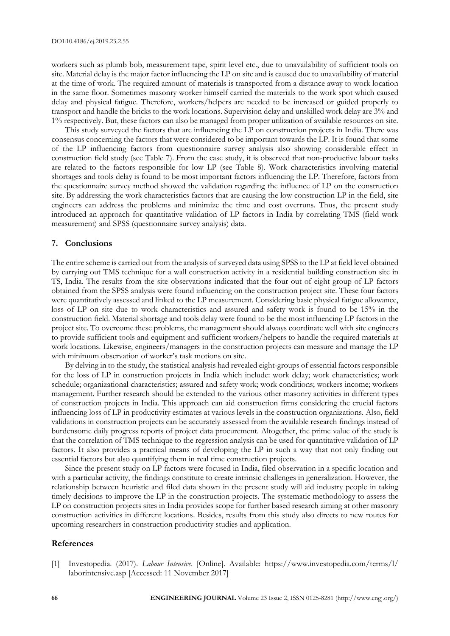workers such as plumb bob, measurement tape, spirit level etc., due to unavailability of sufficient tools on site. Material delay is the major factor influencing the LP on site and is caused due to unavailability of material at the time of work. The required amount of materials is transported from a distance away to work location in the same floor. Sometimes masonry worker himself carried the materials to the work spot which caused delay and physical fatigue. Therefore, workers/helpers are needed to be increased or guided properly to transport and handle the bricks to the work locations. Supervision delay and unskilled work delay are 3% and 1% respectively. But, these factors can also be managed from proper utilization of available resources on site.

This study surveyed the factors that are influencing the LP on construction projects in India. There was consensus concerning the factors that were considered to be important towards the LP. It is found that some of the LP influencing factors from questionnaire survey analysis also showing considerable effect in construction field study (see Table 7). From the case study, it is observed that non-productive labour tasks are related to the factors responsible for low LP (see Table 8). Work characteristics involving material shortages and tools delay is found to be most important factors influencing the LP. Therefore, factors from the questionnaire survey method showed the validation regarding the influence of LP on the construction site. By addressing the work characteristics factors that are causing the low construction LP in the field, site engineers can address the problems and minimize the time and cost overruns. Thus, the present study introduced an approach for quantitative validation of LP factors in India by correlating TMS (field work measurement) and SPSS (questionnaire survey analysis) data.

#### **7. Conclusions**

The entire scheme is carried out from the analysis of surveyed data using SPSS to the LP at field level obtained by carrying out TMS technique for a wall construction activity in a residential building construction site in TS, India. The results from the site observations indicated that the four out of eight group of LP factors obtained from the SPSS analysis were found influencing on the construction project site. These four factors were quantitatively assessed and linked to the LP measurement. Considering basic physical fatigue allowance, loss of LP on site due to work characteristics and assured and safety work is found to be 15% in the construction field. Material shortage and tools delay were found to be the most influencing LP factors in the project site. To overcome these problems, the management should always coordinate well with site engineers to provide sufficient tools and equipment and sufficient workers/helpers to handle the required materials at work locations. Likewise, engineers/managers in the construction projects can measure and manage the LP with minimum observation of worker's task motions on site.

By delving in to the study, the statistical analysis had revealed eight-groups of essential factors responsible for the loss of LP in construction projects in India which include: work delay; work characteristics; work schedule; organizational characteristics; assured and safety work; work conditions; workers income; workers management. Further research should be extended to the various other masonry activities in different types of construction projects in India. This approach can aid construction firms considering the crucial factors influencing loss of LP in productivity estimates at various levels in the construction organizations. Also, field validations in construction projects can be accurately assessed from the available research findings instead of burdensome daily progress reports of project data procurement. Altogether, the prime value of the study is that the correlation of TMS technique to the regression analysis can be used for quantitative validation of LP factors. It also provides a practical means of developing the LP in such a way that not only finding out essential factors but also quantifying them in real time construction projects.

Since the present study on LP factors were focused in India, filed observation in a specific location and with a particular activity, the findings constitute to create intrinsic challenges in generalization. However, the relationship between heuristic and filed data shown in the present study will aid industry people in taking timely decisions to improve the LP in the construction projects. The systematic methodology to assess the LP on construction projects sites in India provides scope for further based research aiming at other masonry construction activities in different locations. Besides, results from this study also directs to new routes for upcoming researchers in construction productivity studies and application.

# **References**

[1] Investopedia. (2017). *Labour Intensive*. [Online]. Available: https://www.investopedia.com/terms/l/ laborintensive.asp [Accessed: 11 November 2017]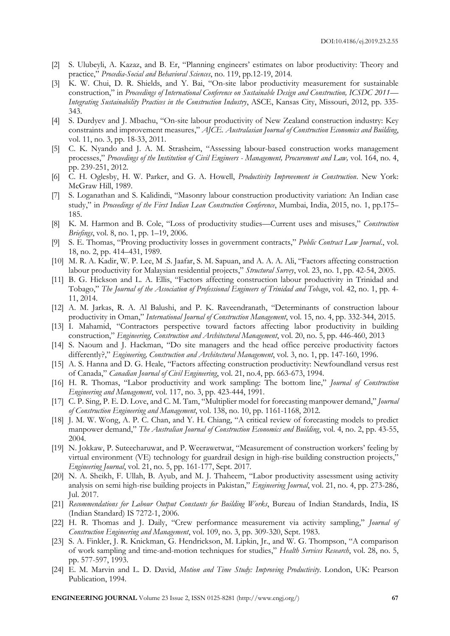- [2] S. Ulubeyli, A. Kazaz, and B. Er, "Planning engineers' estimates on labor productivity: Theory and practice," *Procedia-Social and Behavioral Sciences*, no. 119, pp.12-19, 2014.
- [3] K. W. Chui, D. R. Shields, and Y. Bai, "On-site labor productivity measurement for sustainable construction," in *Proceedings of International Conference on Sustainable Design and Construction, ICSDC 2011— Integrating Sustainability Practices in the Construction Industry*, ASCE, Kansas City, Missouri, 2012, pp. 335- 343.
- [4] S. Durdyev and J. Mbachu, "On-site labour productivity of New Zealand construction industry: Key constraints and improvement measures," *AJCE. Australasian Journal of Construction Economics and Building*, vol. 11, no. 3, pp. 18-33, 2011.
- [5] C. K. Nyando and J. A. M. Strasheim, "Assessing labour-based construction works management processes," *Proceedings of the Institution of Civil Engineers - Management, Procurement and Law,* vol. 164, no. 4, pp. 239-251, 2012.
- [6] C. H. Oglesby, H. W. Parker, and G. A. Howell, *Productivity Improvement in Construction*. New York: McGraw Hill, 1989.
- [7] S. Loganathan and S. Kalidindi, "Masonry labour construction productivity variation: An Indian case study," in *Proceedings of the First Indian Lean Construction Conference*, Mumbai, India, 2015, no. 1, pp.175– 185.
- [8] K. M. Harmon and B. Cole, "Loss of productivity studies—Current uses and misuses," *Construction Briefings*, vol. 8, no. 1, pp. 1–19, 2006.
- [9] S. E. Thomas, "Proving productivity losses in government contracts," *Public Contract Law Journal*., vol. 18, no. 2, pp. 414–431, 1989.
- [10] M. R. A. Kadir, W. P. Lee, M .S. Jaafar, S. M. Sapuan, and A. A. A. Ali, "Factors affecting construction labour productivity for Malaysian residential projects," *Structural Survey*, vol. 23, no. 1, pp. 42-54, 2005.
- [11] B. G. Hickson and L. A. Ellis, "Factors affecting construction labour productivity in Trinidad and Tobago," *The Journal of the Association of Professional Engineers of Trinidad and Tobago*, vol. 42, no. 1, pp. 4- 11, 2014.
- [12] A. M. Jarkas, R. A. Al Balushi, and P. K. Raveendranath, "Determinants of construction labour productivity in Oman," *International Journal of Construction Management*, vol. 15, no. 4, pp. 332-344, 2015.
- [13] I. Mahamid, "Contractors perspective toward factors affecting labor productivity in building construction," *Engineering, Construction and Architectural Management*, vol. 20, no. 5, pp. 446-460, 2013
- [14] S. Naoum and J. Hackman, "Do site managers and the head office perceive productivity factors differently?," *Engineering, Construction and Architectural Management*, vol. 3, no. 1, pp. 147-160, 1996.
- [15] A. S. Hanna and D. G. Heale, "Factors affecting construction productivity: Newfoundland versus rest of Canada," *Canadian Journal of Civil Engineering*, vol. 21, no.4, pp. 663-673, 1994.
- [16] H. R. Thomas, "Labor productivity and work sampling: The bottom line," *Journal of Construction Engineering and Management*, vol. 117, no. 3, pp. 423-444, 1991.
- [17] C. P. Sing, P. E. D. Love, and C. M. Tam, "Multiplier model for forecasting manpower demand," *Journal of Construction Engineering and Management*, vol. 138, no. 10, pp. 1161-1168, 2012.
- [18] J. M. W. Wong, A. P. C. Chan, and Y. H. Chiang, "A critical review of forecasting models to predict manpower demand," *The Australian Journal of Construction Economics and Building*, vol. 4, no. 2, pp. 43-55, 2004.
- [19] N. Jokkaw, P. Suteecharuwat, and P. Weerawetwat, "Measurement of construction workers' feeling by virtual environment (VE) technology for guardrail design in high-rise building construction projects," *Engineering Journal*, vol. 21, no. 5, pp. 161-177, Sept. 2017.
- [20] N. A. Sheikh, F. Ullah, B. Ayub, and M. J. Thaheem, "Labor productivity assessment using activity analysis on semi high-rise building projects in Pakistan," *Engineering Journal*, vol. 21, no. 4, pp. 273-286, Jul. 2017.
- [21] *Recommendations for Labour Output Constants for Building Works*, Bureau of Indian Standards, India, IS (Indian Standard) IS 7272-1, 2006.
- [22] H. R. Thomas and J. Daily, "Crew performance measurement via activity sampling," *Journal of Construction Engineering and Management*, vol. 109, no. 3, pp. 309-320, Sept. 1983.
- [23] S. A. Finkler, J. R. Knickman, G. Hendrickson, M. Lipkin, Jr., and W. G. Thompson, "A comparison of work sampling and time-and-motion techniques for studies," *Health Services Research*, vol. 28, no. 5, pp. 577-597, 1993.
- [24] E. M. Marvin and L. D. David, *Motion and Time Study: Improving Productivity*. London, UK: Pearson Publication, 1994.

**ENGINEERING JOURNAL** Volume 23 Issue 2, ISSN 0125-8281 (http://www.engj.org/) **67**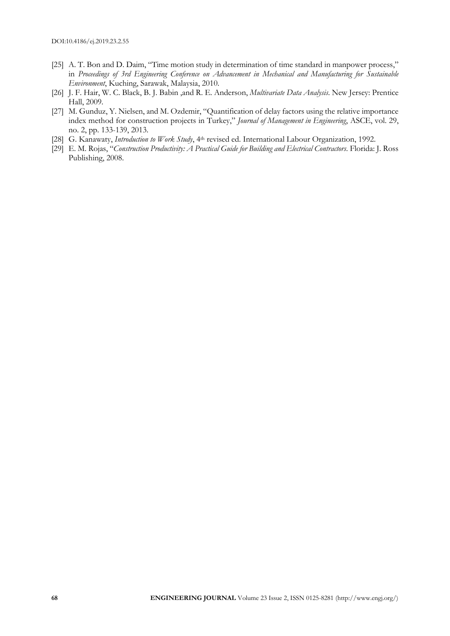- [25] A. T. Bon and D. Daim, "Time motion study in determination of time standard in manpower process," in *Proceedings of 3rd Engineering Conference on Advancement in Mechanical and Manufacturing for Sustainable Environment*, Kuching, Sarawak, Malaysia, 2010.
- [26] J. F. Hair, W. C. Black, B. J. Babin ,and R. E. Anderson, *Multivariate Data Analysis*. New Jersey: Prentice Hall, 2009.
- [27] M. Gunduz, Y. Nielsen, and M. Ozdemir, "Quantification of delay factors using the relative importance index method for construction projects in Turkey," *Journal of Management in Engineering*, ASCE, vol. 29, no. 2, pp. 133-139, 2013.
- [28] G. Kanawaty, *Introduction to Work Study*, 4<sup>th</sup> revised ed. International Labour Organization, 1992.
- [29] E. M. Rojas, "*Construction Productivity: A Practical Guide for Building and Electrical Contractors*. Florida: J. Ross Publishing, 2008.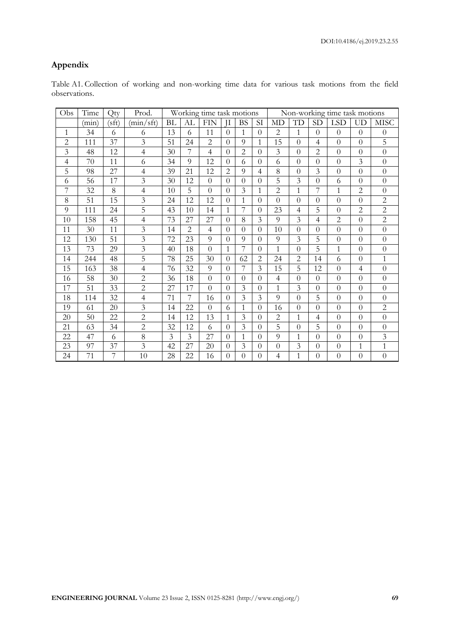# **Appendix**

| Table A1. Collection of working and non-working time data for various task motions from the field |  |  |  |  |  |  |  |
|---------------------------------------------------------------------------------------------------|--|--|--|--|--|--|--|
| observations.                                                                                     |  |  |  |  |  |  |  |

| Obs            | Time  | Qty   | Prod.          | Working time task motions |                |                |                |                |                | Non-working time task motions |                |                |                |                |                  |  |
|----------------|-------|-------|----------------|---------------------------|----------------|----------------|----------------|----------------|----------------|-------------------------------|----------------|----------------|----------------|----------------|------------------|--|
|                | (min) | (sft) | (min/sft)      | <b>BL</b>                 | AL             | <b>FIN</b>     | $\rm II$       | <b>BS</b>      | SI             | <b>MD</b>                     | TD             | <b>SD</b>      | <b>LSD</b>     | <b>UD</b>      | <b>MISC</b>      |  |
| 1              | 34    | 6     | 6              | 13                        | 6              | 11             | $\Omega$       | 1              | $\theta$       | $\overline{2}$                | 1              | $\theta$       | $\overline{0}$ | $\theta$       | $\theta$         |  |
| $\overline{c}$ | 111   | 37    | $\overline{3}$ | 51                        | 24             | $\overline{2}$ | $\Omega$       | 9              | $\mathbf{1}$   | 15                            | $\Omega$       | $\overline{4}$ | $\overline{0}$ | $\overline{0}$ | 5                |  |
| 3              | 48    | 12    | $\overline{4}$ | 30                        | 7              | $\overline{4}$ | $\Omega$       | $\overline{2}$ | $\overline{0}$ | $\overline{3}$                | $\Omega$       | $\overline{2}$ | $\overline{0}$ | $\overline{0}$ | $\overline{0}$   |  |
| 4              | 70    | 11    | 6              | 34                        | 9              | 12             | $\Omega$       | 6              | $\theta$       | 6                             | $\Omega$       | $\theta$       | $\theta$       | 3              | $\theta$         |  |
| 5              | 98    | 27    | $\overline{4}$ | 39                        | 21             | 12             | $\overline{2}$ | 9              | $\overline{4}$ | 8                             | $\theta$       | 3              | $\overline{0}$ | $\overline{0}$ | $\overline{0}$   |  |
| 6              | 56    | 17    | $\overline{3}$ | 30                        | 12             | $\Omega$       | $\Omega$       | $\theta$       | $\theta$       | 5                             | 3              | $\theta$       | 6              | $\overline{0}$ | $\overline{0}$   |  |
| 7              | 32    | 8     | $\overline{4}$ | 10                        | 5              | $\Omega$       | $\Omega$       | 3              | 1              | $\overline{2}$                | 1              | 7              | 1              | $\overline{2}$ | $\theta$         |  |
| 8              | 51    | 15    | $\overline{3}$ | 24                        | 12             | 12             | $\Omega$       | $\mathbf{1}$   | $\overline{0}$ | $\overline{0}$                | $\theta$       | $\theta$       | $\overline{0}$ | $\overline{0}$ | $\overline{c}$   |  |
| 9              | 111   | 24    | 5              | 43                        | 10             | 14             | $\mathbf{1}$   | 7              | $\theta$       | 23                            | 4              | 5              | $\overline{0}$ | $\overline{2}$ | $\overline{c}$   |  |
| 10             | 158   | 45    | $\overline{4}$ | 73                        | 27             | 27             | $\Omega$       | 8              | 3              | 9                             | 3              | $\overline{4}$ | $\overline{c}$ | $\overline{0}$ | $\overline{c}$   |  |
| 11             | 30    | 11    | 3              | 14                        | $\overline{2}$ | $\overline{4}$ | $\Omega$       | $\Omega$       | $\Omega$       | 10                            | $\Omega$       | $\Omega$       | $\overline{0}$ | $\theta$       | $\overline{0}$   |  |
| 12             | 130   | 51    | $\overline{3}$ | 72                        | 23             | 9              | $\Omega$       | 9              | $\theta$       | 9                             | 3              | 5              | $\theta$       | $\theta$       | $\theta$         |  |
| 13             | 73    | 29    | $\overline{3}$ | 40                        | 18             | $\theta$       | $\mathbf{1}$   | 7              | $\theta$       | 1                             | $\theta$       | 5              | $\mathbf{1}$   | $\theta$       | $\overline{0}$   |  |
| 14             | 244   | 48    | 5              | 78                        | 25             | 30             | $\Omega$       | 62             | $\overline{2}$ | 24                            | $\overline{2}$ | 14             | 6              | $\theta$       | $\mathbf{1}$     |  |
| 15             | 163   | 38    | $\overline{4}$ | 76                        | 32             | 9              | $\Omega$       |                | 3              | 15                            | 5              | 12             | $\overline{0}$ | $\overline{4}$ | $\overline{0}$   |  |
| 16             | 58    | 30    | $\overline{2}$ | 36                        | 18             | $\theta$       | $\Omega$       | $\Omega$       | $\overline{0}$ | $\overline{4}$                | $\Omega$       | $\theta$       | $\overline{0}$ | $\overline{0}$ | $\overline{0}$   |  |
| 17             | 51    | 33    | $\overline{2}$ | 27                        | 17             | $\Omega$       | $\Omega$       | 3              | $\theta$       | $\mathbf{1}$                  | 3              | $\theta$       | $\overline{0}$ | $\overline{0}$ | $\overline{0}$   |  |
| 18             | 114   | 32    | 4              | 71                        | 7              | 16             | $\Omega$       | 3              | 3              | 9                             | $\theta$       | 5              | $\overline{0}$ | $\theta$       | $\overline{0}$   |  |
| 19             | 61    | 20    | $\overline{3}$ | 14                        | 22             | $\Omega$       | 6              | 1              | $\theta$       | 16                            | $\theta$       | $\Omega$       | $\theta$       | $\theta$       | $\overline{2}$   |  |
| 20             | 50    | 22    | $\overline{2}$ | 14                        | 12             | 13             | 1              | 3              | $\theta$       | 2                             | 1              | 4              | $\theta$       | $\theta$       | $\boldsymbol{0}$ |  |
| 21             | 63    | 34    | $\overline{2}$ | 32                        | 12             | 6              | $\Omega$       | 3              | $\overline{0}$ | 5                             | $\overline{0}$ | 5              | $\overline{0}$ | $\overline{0}$ | $\overline{0}$   |  |
| 22             | 47    | 6     | 8              | $\overline{3}$            | $\overline{3}$ | 27             | $\Omega$       | 1              | $\theta$       | 9                             | 1              | $\overline{0}$ | $\overline{0}$ | $\overline{0}$ | $\mathfrak{Z}$   |  |
| 23             | 97    | 37    | 3              | 42                        | 27             | 20             | $\Omega$       | 3              | $\theta$       | $\theta$                      | 3              | $\theta$       | $\theta$       | $\mathbf{1}$   | $\mathbf{1}$     |  |
| 24             | 71    | 7     | 10             | 28                        | 22             | 16             | $\Omega$       | $\Omega$       | $\Omega$       | $\overline{4}$                | 1              | $\Omega$       | $\theta$       | $\theta$       | $\overline{0}$   |  |